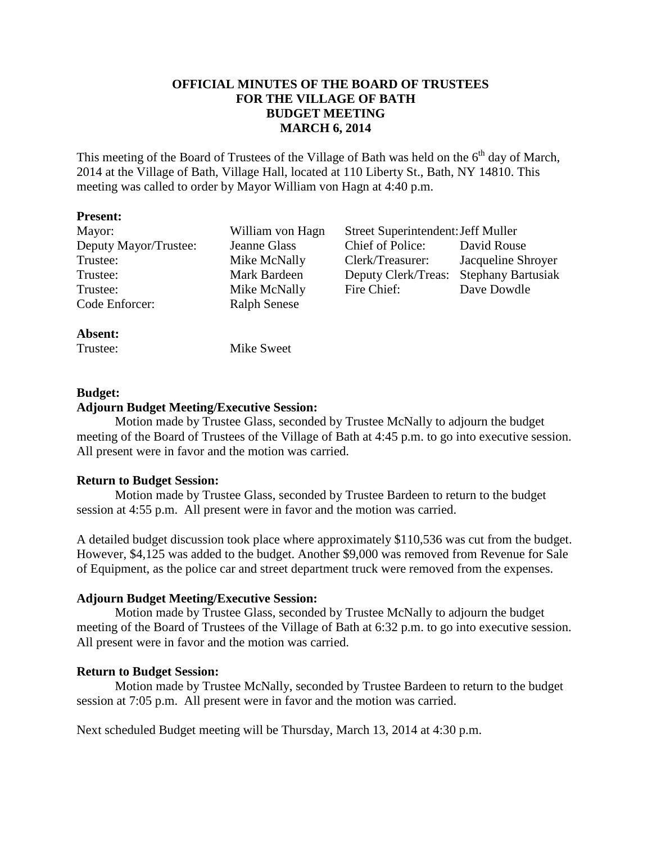## **OFFICIAL MINUTES OF THE BOARD OF TRUSTEES FOR THE VILLAGE OF BATH BUDGET MEETING MARCH 6, 2014**

This meeting of the Board of Trustees of the Village of Bath was held on the 6<sup>th</sup> day of March. 2014 at the Village of Bath, Village Hall, located at 110 Liberty St., Bath, NY 14810. This meeting was called to order by Mayor William von Hagn at 4:40 p.m.

#### **Present:**

| Mayor:                | William von Hagn    | Street Superintendent: Jeff Muller |                           |
|-----------------------|---------------------|------------------------------------|---------------------------|
| Deputy Mayor/Trustee: | Jeanne Glass        | Chief of Police:                   | David Rouse               |
| Trustee:              | Mike McNally        | Clerk/Treasurer:                   | Jacqueline Shroyer        |
| Trustee:              | Mark Bardeen        | Deputy Clerk/Treas:                | <b>Stephany Bartusiak</b> |
| Trustee:              | Mike McNally        | Fire Chief:                        | Dave Dowdle               |
| Code Enforcer:        | <b>Ralph Senese</b> |                                    |                           |
|                       |                     |                                    |                           |

#### **Absent:**

Trustee: Mike Sweet

## **Budget:**

#### **Adjourn Budget Meeting/Executive Session:**

 Motion made by Trustee Glass, seconded by Trustee McNally to adjourn the budget meeting of the Board of Trustees of the Village of Bath at 4:45 p.m. to go into executive session. All present were in favor and the motion was carried.

## **Return to Budget Session:**

Motion made by Trustee Glass, seconded by Trustee Bardeen to return to the budget session at 4:55 p.m. All present were in favor and the motion was carried.

A detailed budget discussion took place where approximately \$110,536 was cut from the budget. However, \$4,125 was added to the budget. Another \$9,000 was removed from Revenue for Sale of Equipment, as the police car and street department truck were removed from the expenses.

## **Adjourn Budget Meeting/Executive Session:**

 Motion made by Trustee Glass, seconded by Trustee McNally to adjourn the budget meeting of the Board of Trustees of the Village of Bath at 6:32 p.m. to go into executive session. All present were in favor and the motion was carried.

## **Return to Budget Session:**

Motion made by Trustee McNally, seconded by Trustee Bardeen to return to the budget session at 7:05 p.m. All present were in favor and the motion was carried.

Next scheduled Budget meeting will be Thursday, March 13, 2014 at 4:30 p.m.